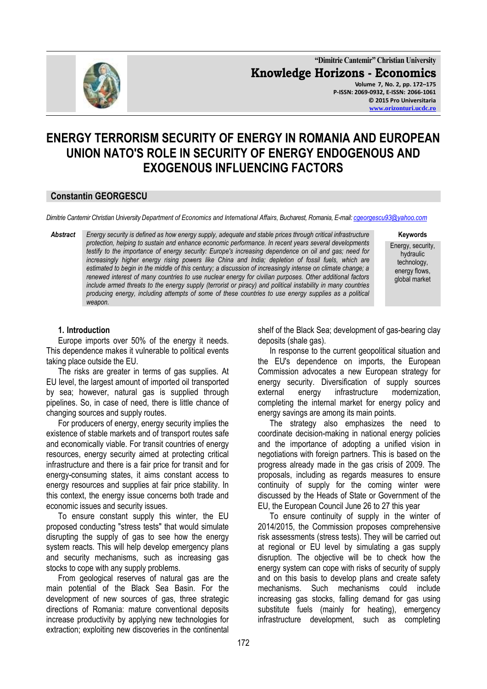

**"Dimitrie Cantemir" Christian University Knowledge Horizons - Economics Volume 7, No. 2, pp. 172–175 P-ISSN: 2069-0932, E-ISSN: 2066-1061 © 2015 Pro Universitaria [www.orizonturi.ucdc.ro](http://www.orizonturi.ucdc.ro/)**

# **ENERGY TERRORISM SECURITY OF ENERGY IN ROMANIA AND EUROPEAN UNION NATO'S ROLE IN SECURITY OF ENERGY ENDOGENOUS AND EXOGENOUS INFLUENCING FACTORS**

#### **Constantin GEORGESCU**

*Dimitrie Cantemir Christian University Department of Economics and International Affairs, Bucharest, Romania, E-mail[: cgeorgescu93@yahoo.com](mailto:cgeorgescu93@yahoo.com)*

*Abstract Energy security is defined as how energy supply, adequate and stable prices through critical infrastructure protection, helping to sustain and enhance economic performance. In recent years several developments testify to the importance of energy security: Europe's increasing dependence on oil and gas; need for increasingly higher energy rising powers like China and India; depletion of fossil fuels, which are estimated to begin in the middle of this century; a discussion of increasingly intense on climate change; a renewed interest of many countries to use nuclear energy for civilian purposes. Other additional factors include armed threats to the energy supply (terrorist or piracy) and political instability in many countries producing energy, including attempts of some of these countries to use energy supplies as a political weapon.*

**Keywords**

Energy, security, hydraulic technology, energy flows, global market

### **1. Introduction**

Europe imports over 50% of the energy it needs. This dependence makes it vulnerable to political events taking place outside the EU.

The risks are greater in terms of gas supplies. At EU level, the largest amount of imported oil transported by sea; however, natural gas is supplied through pipelines. So, in case of need, there is little chance of changing sources and supply routes.

For producers of energy, energy security implies the existence of stable markets and of transport routes safe and economically viable. For transit countries of energy resources, energy security aimed at protecting critical infrastructure and there is a fair price for transit and for energy-consuming states, it aims constant access to energy resources and supplies at fair price stability. In this context, the energy issue concerns both trade and economic issues and security issues.

To ensure constant supply this winter, the EU proposed conducting "stress tests" that would simulate disrupting the supply of gas to see how the energy system reacts. This will help develop emergency plans and security mechanisms, such as increasing gas stocks to cope with any supply problems.

From geological reserves of natural gas are the main potential of the Black Sea Basin. For the development of new sources of gas, three strategic directions of Romania: mature conventional deposits increase productivity by applying new technologies for extraction; exploiting new discoveries in the continental

shelf of the Black Sea; development of gas-bearing clay deposits (shale gas).

In response to the current geopolitical situation and the EU's dependence on imports, the European Commission advocates a new European strategy for energy security. Diversification of supply sources external energy infrastructure modernization, completing the internal market for energy policy and energy savings are among its main points.

The strategy also emphasizes the need to coordinate decision-making in national energy policies and the importance of adopting a unified vision in negotiations with foreign partners. This is based on the progress already made in the gas crisis of 2009. The proposals, including as regards measures to ensure continuity of supply for the coming winter were discussed by the Heads of State or Government of the EU, the European Council June 26 to 27 this year

To ensure continuity of supply in the winter of 2014/2015, the Commission proposes comprehensive risk assessments (stress tests). They will be carried out at regional or EU level by simulating a gas supply disruption. The objective will be to check how the energy system can cope with risks of security of supply and on this basis to develop plans and create safety mechanisms. Such mechanisms could include increasing gas stocks, falling demand for gas using substitute fuels (mainly for heating), emergency infrastructure development, such as completing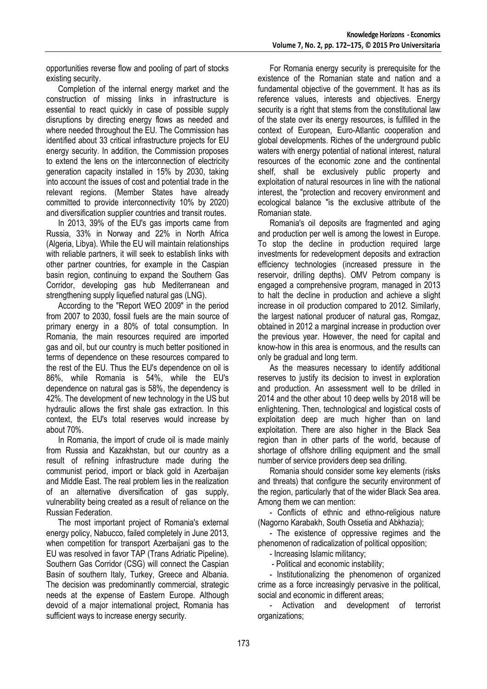opportunities reverse flow and pooling of part of stocks existing security.

Completion of the internal energy market and the construction of missing links in infrastructure is essential to react quickly in case of possible supply disruptions by directing energy flows as needed and where needed throughout the EU. The Commission has identified about 33 critical infrastructure projects for EU energy security. In addition, the Commission proposes to extend the lens on the interconnection of electricity generation capacity installed in 15% by 2030, taking into account the issues of cost and potential trade in the relevant regions. (Member States have already committed to provide interconnectivity 10% by 2020) and diversification supplier countries and transit routes.

In 2013, 39% of the EU's gas imports came from Russia, 33% in Norway and 22% in North Africa (Algeria, Libya). While the EU will maintain relationships with reliable partners, it will seek to establish links with other partner countries, for example in the Caspian basin region, continuing to expand the Southern Gas Corridor, developing gas hub Mediterranean and strengthening supply liquefied natural gas (LNG).

According to the "Report WEO 2009" in the period from 2007 to 2030, fossil fuels are the main source of primary energy in a 80% of total consumption. In Romania, the main resources required are imported gas and oil, but our country is much better positioned in terms of dependence on these resources compared to the rest of the EU. Thus the EU's dependence on oil is 86%, while Romania is 54%, while the EU's dependence on natural gas is 58%, the dependency is 42%. The development of new technology in the US but hydraulic allows the first shale gas extraction. In this context, the EU's total reserves would increase by about 70%.

In Romania, the import of crude oil is made mainly from Russia and Kazakhstan, but our country as a result of refining infrastructure made during the communist period, import or black gold in Azerbaijan and Middle East. The real problem lies in the realization of an alternative diversification of gas supply, vulnerability being created as a result of reliance on the Russian Federation.

The most important project of Romania's external energy policy, Nabucco, failed completely in June 2013, when competition for transport Azerbaijani gas to the EU was resolved in favor TAP (Trans Adriatic Pipeline). Southern Gas Corridor (CSG) will connect the Caspian Basin of southern Italy, Turkey, Greece and Albania. The decision was predominantly commercial, strategic needs at the expense of Eastern Europe. Although devoid of a major international project, Romania has sufficient ways to increase energy security.

For Romania energy security is prerequisite for the existence of the Romanian state and nation and a fundamental objective of the government. It has as its reference values, interests and objectives. Energy security is a right that stems from the constitutional law of the state over its energy resources, is fulfilled in the context of European, Euro-Atlantic cooperation and global developments. Riches of the underground public waters with energy potential of national interest, natural resources of the economic zone and the continental shelf, shall be exclusively public property and exploitation of natural resources in line with the national interest, the "protection and recovery environment and ecological balance "is the exclusive attribute of the Romanian state.

Romania's oil deposits are fragmented and aging and production per well is among the lowest in Europe. To stop the decline in production required large investments for redevelopment deposits and extraction efficiency technologies (increased pressure in the reservoir, drilling depths). OMV Petrom company is engaged a comprehensive program, managed in 2013 to halt the decline in production and achieve a slight increase in oil production compared to 2012. Similarly, the largest national producer of natural gas, Romgaz, obtained in 2012 a marginal increase in production over the previous year. However, the need for capital and know-how in this area is enormous, and the results can only be gradual and long term.

As the measures necessary to identify additional reserves to justify its decision to invest in exploration and production. An assessment well to be drilled in 2014 and the other about 10 deep wells by 2018 will be enlightening. Then, technological and logistical costs of exploitation deep are much higher than on land exploitation. There are also higher in the Black Sea region than in other parts of the world, because of shortage of offshore drilling equipment and the small number of service providers deep sea drilling.

Romania should consider some key elements (risks and threats) that configure the security environment of the region, particularly that of the wider Black Sea area. Among them we can mention:

- Conflicts of ethnic and ethno-religious nature (Nagorno Karabakh, South Ossetia and Abkhazia);

- The existence of oppressive regimes and the phenomenon of radicalization of political opposition;

- Increasing Islamic militancy;

- Political and economic instability;

- Institutionalizing the phenomenon of organized crime as a force increasingly pervasive in the political, social and economic in different areas;

Activation and development of terrorist organizations;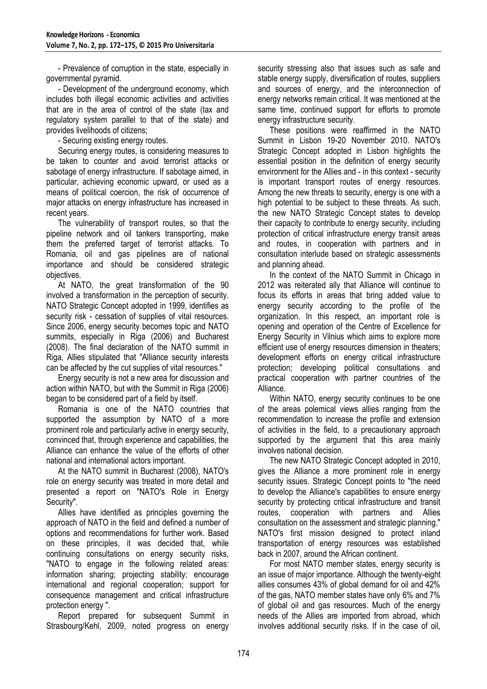- Prevalence of corruption in the state, especially in governmental pyramid.

- Development of the underground economy, which includes both illegal economic activities and activities that are in the area of control of the state (tax and regulatory system parallel to that of the state) and provides livelihoods of citizens;

- Securing existing energy routes.

Securing energy routes, is considering measures to be taken to counter and avoid terrorist attacks or sabotage of energy infrastructure. If sabotage aimed, in particular, achieving economic upward, or used as a means of political coercion, the risk of occurrence of major attacks on energy infrastructure has increased in recent years.

The vulnerability of transport routes, so that the pipeline network and oil tankers transporting, make them the preferred target of terrorist attacks. To Romania, oil and gas pipelines are of national importance and should be considered strategic objectives.

At NATO, the great transformation of the 90 involved a transformation in the perception of security. NATO Strategic Concept adopted in 1999, identifies as security risk - cessation of supplies of vital resources. Since 2006, energy security becomes topic and NATO summits, especially in Riga (2006) and Bucharest (2008). The final declaration of the NATO summit in Riga, Allies stipulated that "Alliance security interests can be affected by the cut supplies of vital resources."

Energy security is not a new area for discussion and action within NATO, but with the Summit in Riga (2006) began to be considered part of a field by itself.

Romania is one of the NATO countries that supported the assumption by NATO of a more prominent role and particularly active in energy security, convinced that, through experience and capabilities, the Alliance can enhance the value of the efforts of other national and international actors important.

At the NATO summit in Bucharest (2008), NATO's role on energy security was treated in more detail and presented a report on "NATO's Role in Energy Security".

Allies have identified as principles governing the approach of NATO in the field and defined a number of options and recommendations for further work. Based on these principles, it was decided that, while continuing consultations on energy security risks, "NATO to engage in the following related areas: information sharing; projecting stability; encourage international and regional cooperation; support for consequence management and critical infrastructure protection energy ".

Report prepared for subsequent Summit in Strasbourg/Kehl, 2009, noted progress on energy

security stressing also that issues such as safe and stable energy supply, diversification of routes, suppliers and sources of energy, and the interconnection of energy networks remain critical. It was mentioned at the same time, continued support for efforts to promote energy infrastructure security.

These positions were reaffirmed in the NATO Summit in Lisbon 19-20 November 2010. NATO's Strategic Concept adopted in Lisbon highlights the essential position in the definition of energy security environment for the Allies and - in this context - security is important transport routes of energy resources. Among the new threats to security, energy is one with a high potential to be subject to these threats. As such, the new NATO Strategic Concept states to develop their capacity to contribute to energy security, including protection of critical infrastructure energy transit areas and routes, in cooperation with partners and in consultation interlude based on strategic assessments and planning ahead.

In the context of the NATO Summit in Chicago in 2012 was reiterated ally that Alliance will continue to focus its efforts in areas that bring added value to energy security according to the profile of the organization. In this respect, an important role is opening and operation of the Centre of Excellence for Energy Security in Vilnius which aims to explore more efficient use of energy resources dimension in theaters; development efforts on energy critical infrastructure protection; developing political consultations and practical cooperation with partner countries of the Alliance.

Within NATO, energy security continues to be one of the areas polemical views allies ranging from the recommendation to increase the profile and extension of activities in the field, to a precautionary approach supported by the argument that this area mainly involves national decision.

The new NATO Strategic Concept adopted in 2010, gives the Alliance a more prominent role in energy security issues. Strategic Concept points to "the need to develop the Alliance's capabilities to ensure energy security by protecting critical infrastructure and transit routes, cooperation with partners and Allies consultation on the assessment and strategic planning." NATO's first mission designed to protect inland transportation of energy resources was established back in 2007, around the African continent.

For most NATO member states, energy security is an issue of major importance. Although the twenty-eight allies consumes 43% of global demand for oil and 42% of the gas, NATO member states have only 6% and 7% of global oil and gas resources. Much of the energy needs of the Allies are imported from abroad, which involves additional security risks. If in the case of oil,